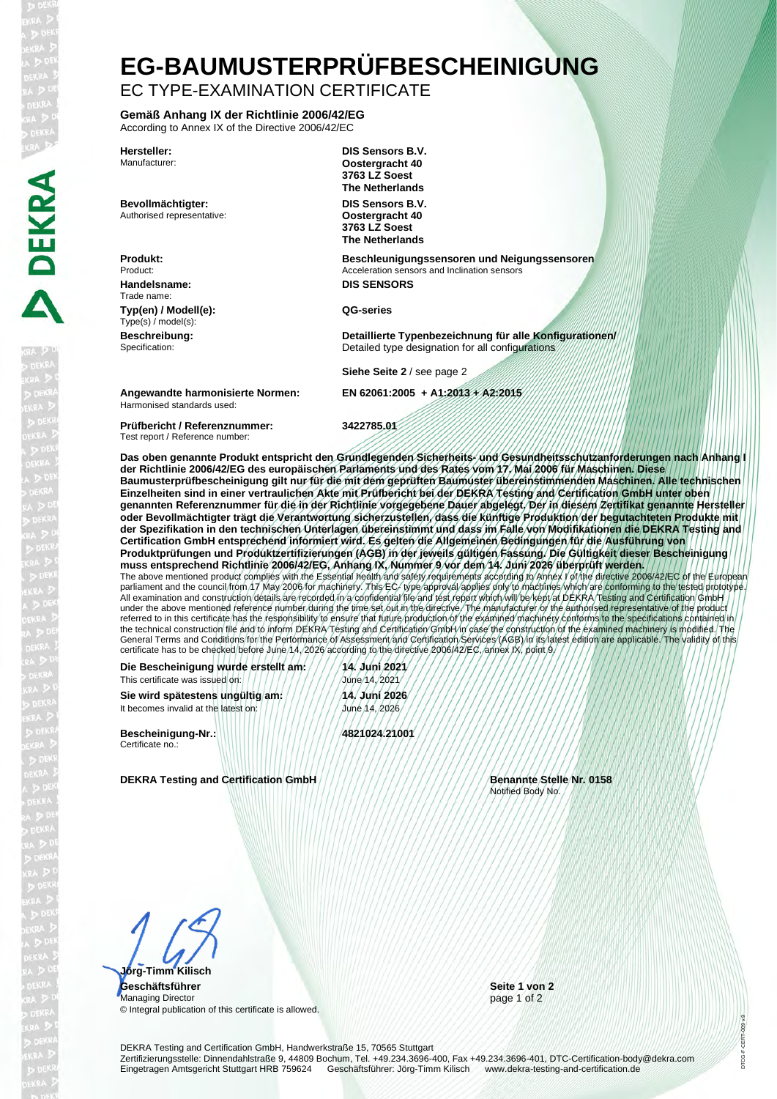# **EG-BAUMUSTERPRÜFBESCHEINIGUNG**

## EC TYPE-EXAMINATION CERTIFICATE

**Gemäß Anhang IX der Richtlinie 2006/42/EG** According to Annex IX of the Directive 2006/42/EC

Manufacturer:

**Bevollmächtigter: DIS Sensors B.V.** Authorised representative:

**Handelsname: DIS SENSORS** Trade name:

**Typ(en) / Modell(e): QG-series** Type(s) / model(s):

Specification:

**Hersteller: DIS Sensors B.V. Oostergracht 40 3763 LZ Soest The Netherlands Oostergracht 40 3763 LZ Soest The Netherlands**

**Produkt: Beschleunigungssensoren und Neigungssensoren** Acceleration sensors and Inclination sensors

**Beschreibung: Detaillierte Typenbezeichnung für alle Konfigurationen/** Detailed type designation for all configurations

**Siehe Seite 2** / see page 2

**Angewandte harmonisierte Normen: EN 62061:2005 + A1:2013 + A2:2015** 

Harmonised standards used:

**Prüfbericht / Referenznummer: 3422785.01** Test report / Reference number:

**Das oben genannte Produkt entspricht den Grundlegenden Sicherheits- und Gesundheitsschutzanforderungen nach Anhang I der Richtlinie 2006/42/EG des europäischen Parlaments und des Rates vom 17. Mai 2006 für Maschinen. Diese Baumusterprüfbescheinigung gilt nur für die mit dem geprüften Baumuster übereinstimmenden Maschinen. Alle technischen Einzelheiten sind in einer vertraulichen Akte mit Prüfbericht bei der DEKRA Testing and Certification GmbH unter oben**  genannten Referenznummer für die in der Richtlinie vorgegebene Dauer abgelegt. Der in diesem Zertifikat genannte Hersteller **oder Bevollmächtigter trägt die Verantwortung sicherzustellen, dass die künftige Produktion der begutachteten Produkte mit der Spezifikation in den technischen Unterlagen übereinstimmt und dass im Falle von Modifikationen die DEKRA Testing and Certification GmbH entsprechend informiert wird. Es gelten die Allgemeinen Bedingungen für die Ausführung von Produktprüfungen und Produktzertifizierungen (AGB) in der jeweils gültigen Fassung. Die Gültigkeit dieser Bescheinigung muss entsprechend Richtlinie 2006/42/EG, Anhang IX, Nummer 9 vor dem 14. Juni 2026 überprüft werden.** The above mentioned product complies with the Essential health and safety requirements according to Annex I of the directive 2006/42/EC of the European parliament and the council from 17 May 2006 for machinery. This EC- type approval applies only to machines which are conforming to the tested prototype. All examination and construction details are recorded in a confidential file and test report which will be kept at DEKRA Testing and Certification GmbH under the above mentioned reference number during the time set out in the directive. The manufacturer or the authorised representative of the product referred to in this certificate has the responsibility to ensure that future production of the examined machinery conforms to the specifications contained in the technical construction file and to inform DEKRA Testing and Certification GmbH in case the construction of the examined machinery is modified. The General Terms and Conditions for the Performance of Assessment and Certification Services (AGB) in its latest edition are applicable. The validity of this certificate has to be checked before June 14, 2026 according to the directive 2006/42/EC, annex IX, point 9.

**Die Bescheinigung wurde erstellt am: 14. Juni 2021** This certificate was issued on: July July July / June 14, 2021

**Sie wird spätestens ungültig am: 14. Juni 2026**<br>It becomes invalid at the latest on: **14. June 14. 2026** It becomes invalid at the latest on

**Bescheinigung-Nr.: 4821024.21001** Certificate no.:

**DEKRA Testing and Certification GmbH Benannte Stelle Nr. 0158**

Notified Body No.

**Jörg-Timm Kilisch Geschäftsführer Seite 1 von 2**

Managing Director **page 1 of 2** and 2 and 2 and 2 and 2 and 2 and 2 and 2 and 2 and 2 and 2 and 2 and 2 and 2 and 2 and 2 and 2 and 2 and 2 and 2 and 2 and 2 and 2 and 2 and 2 and 2 and 2 and 2 and 2 and 2 and 2 and 2 and © Integral publication of this certificate is allowed.

DTCG-F-CERT-009 v.9

ICC-F-CFR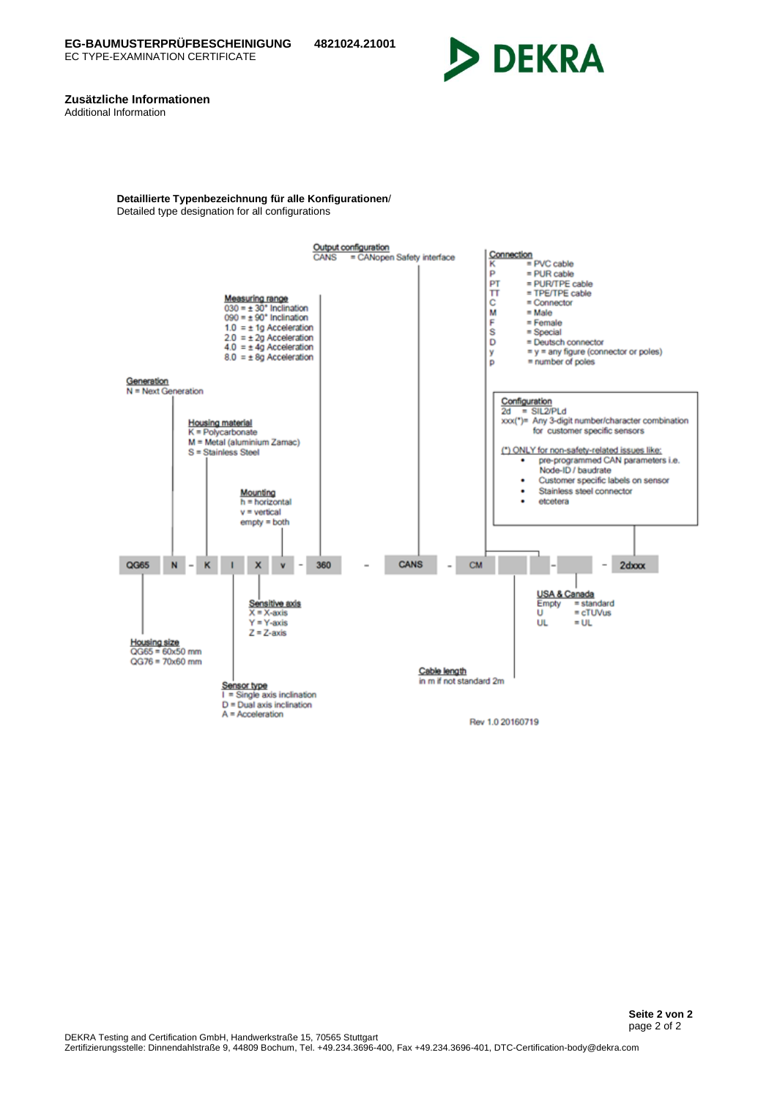**DEKRA** 

**Zusätzliche Informationen** Additional Information

> **Detaillierte Typenbezeichnung für alle Konfigurationen**/ Detailed type designation for all configurations



**Seite 2 von 2** page 2 of 2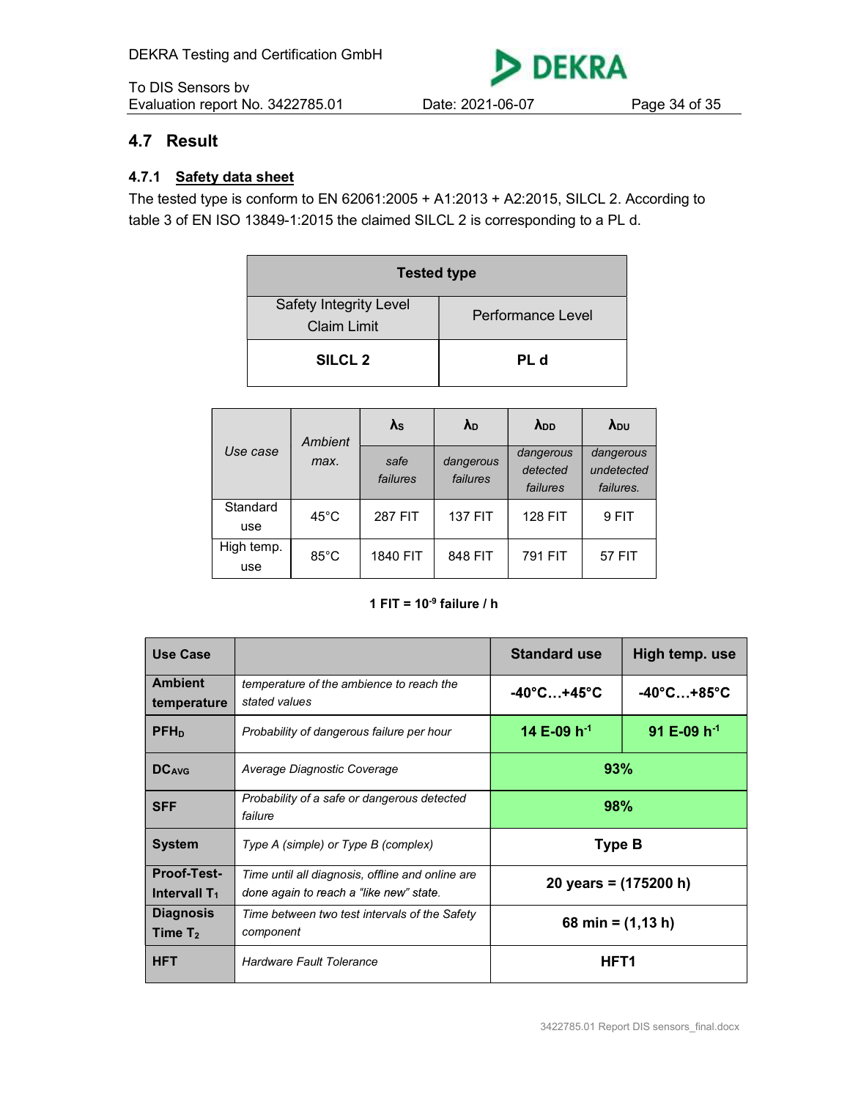DEKRA Testing and Certification GmbH<br>
To DIS Sensors by<br>
Evaluation report No. 3422785.01 Date: 2021-06-07<br>
4.7 Result<br>
4.7.1 <u>Safety data sheet</u><br>
The tested type is conform to EN 62061:2005 + A1:2013 + A2:2015, SILCL 2.<br> DEKRA Testing and Certification GmbH<br>
To DIS Sensors by<br>
Evaluation report No. 3422785.01 Date: 2021-06-07<br>
4.7 Result<br>
4.7.1 <u>Safety data sheet</u><br>
The tested type is conform to EN 62061:2005 + A1:2013 + A2:2015, SILCL 2. DEKRA Testing and Certification GmbH<br>
To DIS Sensors by<br>
Evaluation report No. 3422785.01 Date: 2021-06-07 Page 34 of 35<br>
4.7 Result<br>
The tested type is conform to EN 62061:2005 + A1:2013 + A2:2015, SILCL 2. According to<br>

|                                  | <b>DEKRA Testing and Certification GmbH</b>  |                                                                                                                                                                          | <b>DEKRA</b>           |
|----------------------------------|----------------------------------------------|--------------------------------------------------------------------------------------------------------------------------------------------------------------------------|------------------------|
| To DIS Sensors bv                |                                              |                                                                                                                                                                          |                        |
| Evaluation report No. 3422785.01 |                                              | Date: 2021-06-07                                                                                                                                                         | Page 34 of 35          |
|                                  |                                              | The tested type is conform to EN 62061:2005 + A1:2013 + A2:2015, SILCL 2. According to<br>table 3 of EN ISO 13849-1:2015 the claimed SILCL 2 is corresponding to a PL d. |                        |
|                                  |                                              | <b>Tested type</b>                                                                                                                                                       |                        |
|                                  |                                              |                                                                                                                                                                          |                        |
|                                  | Safety Integrity Level<br><b>Claim Limit</b> | Performance Level                                                                                                                                                        |                        |
|                                  | SILCL <sub>2</sub>                           | PL d                                                                                                                                                                     |                        |
|                                  |                                              | $\lambda_{\rm S}$<br>$\lambda_{DD}$<br>$\lambda_{D}$                                                                                                                     | <b>A</b> <sub>DU</sub> |

|                    |                                              |                               |                       | rpe is conform to EN 62061:2005 + A1:2013 + A2:2015, SILCL 2. According to<br>I ISO 13849-1:2015 the claimed SILCL 2 is corresponding to a PL d. |                                      |  |  |
|--------------------|----------------------------------------------|-------------------------------|-----------------------|--------------------------------------------------------------------------------------------------------------------------------------------------|--------------------------------------|--|--|
| <b>Tested type</b> |                                              |                               |                       |                                                                                                                                                  |                                      |  |  |
|                    | Safety Integrity Level<br><b>Claim Limit</b> |                               | Performance Level     |                                                                                                                                                  |                                      |  |  |
|                    | <b>SILCL 2</b>                               |                               |                       | PL d                                                                                                                                             |                                      |  |  |
|                    |                                              | $\lambda_{\rm S}$             | $\lambda_{\rm D}$     | $\lambda_{DD}$                                                                                                                                   | $\lambda_{\text{DU}}$                |  |  |
| Use case           | Ambient<br>max.                              | safe<br>failures              | dangerous<br>failures | dangerous<br>detected<br>failures                                                                                                                | dangerous<br>undetected<br>failures. |  |  |
| Standard<br>use    | 45°C                                         | <b>287 FIT</b>                | 137 FIT               | <b>128 FIT</b>                                                                                                                                   | 9 FIT                                |  |  |
| High temp.         | 85°C                                         | 1840 FIT                      | 848 FIT               | 791 FIT                                                                                                                                          | <b>57 FIT</b>                        |  |  |
| use                |                                              |                               |                       |                                                                                                                                                  |                                      |  |  |
|                    |                                              | 1 FIT = $10^{-9}$ failure / h |                       |                                                                                                                                                  |                                      |  |  |

### 1 FIT =  $10^{-9}$  failure / h

|                                |                                  | Ambient                                                                                     | $\lambda_{\rm S}$             | $\lambda_{\text{D}}$<br>dangerous<br>failures | $\lambda_{DD}$                                                       | <b>A</b> <sub>DU</sub>               |                |  |  |
|--------------------------------|----------------------------------|---------------------------------------------------------------------------------------------|-------------------------------|-----------------------------------------------|----------------------------------------------------------------------|--------------------------------------|----------------|--|--|
|                                | Use case                         | max.                                                                                        | safe<br>failures              |                                               | dangerous<br>detected<br>failures                                    | dangerous<br>undetected<br>failures. |                |  |  |
|                                | Standard<br>use                  | 45°C                                                                                        | <b>287 FIT</b>                | <b>137 FIT</b>                                | <b>128 FIT</b>                                                       | 9 FIT                                |                |  |  |
|                                | High temp.<br>use                | 85°C                                                                                        | 1840 FIT                      | 848 FIT                                       | 791 FIT                                                              | <b>57 FIT</b>                        |                |  |  |
|                                |                                  |                                                                                             | 1 FIT = $10^{-9}$ failure / h |                                               |                                                                      |                                      |                |  |  |
| <b>Use Case</b>                |                                  | <b>Standard use</b>                                                                         |                               |                                               |                                                                      |                                      | High temp. use |  |  |
| <b>Ambient</b><br>temperature  |                                  | temperature of the ambience to reach the<br>stated values                                   |                               |                                               | $-40^{\circ}$ C +45 $^{\circ}$ C<br>$-40^{\circ}$ C +85 $^{\circ}$ C |                                      |                |  |  |
| <b>PFH<sub>D</sub></b>         |                                  | Probability of dangerous failure per hour                                                   |                               |                                               | 14 E-09 h <sup>-1</sup><br>91 E-09 $h^{-1}$                          |                                      |                |  |  |
| <b>DCAVG</b>                   |                                  | Average Diagnostic Coverage                                                                 |                               |                                               |                                                                      |                                      |                |  |  |
| <b>SFF</b>                     | failure                          | Probability of a safe or dangerous detected                                                 |                               |                                               |                                                                      |                                      |                |  |  |
| <b>System</b>                  |                                  | Type A (simple) or Type B (complex)                                                         |                               |                                               |                                                                      |                                      |                |  |  |
| Proof-Test-<br>Intervall $T_1$ |                                  | Time until all diagnosis, offline and online are<br>done again to reach a "like new" state. |                               |                                               | 20 years = (175200 h)                                                |                                      |                |  |  |
| <b>Diagnosis</b><br>Time $T_2$ | component                        | Time between two test intervals of the Safety                                               |                               |                                               | 68 min = $(1, 13 h)$                                                 |                                      |                |  |  |
| <b>HFT</b>                     | HFT1<br>Hardware Fault Tolerance |                                                                                             |                               |                                               |                                                                      |                                      |                |  |  |